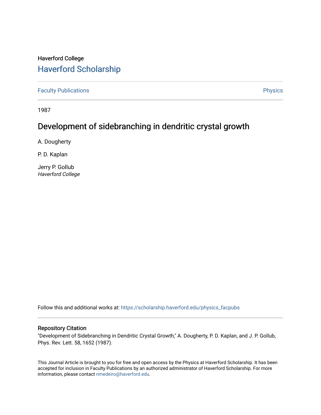## Haverford College [Haverford Scholarship](https://scholarship.haverford.edu/)

[Faculty Publications](https://scholarship.haverford.edu/physics_facpubs) **Physics** 

1987

## Development of sidebranching in dendritic crystal growth

A. Dougherty

P. D. Kaplan

Jerry P. Gollub Haverford College

Follow this and additional works at: [https://scholarship.haverford.edu/physics\\_facpubs](https://scholarship.haverford.edu/physics_facpubs?utm_source=scholarship.haverford.edu%2Fphysics_facpubs%2F77&utm_medium=PDF&utm_campaign=PDFCoverPages) 

## Repository Citation

"Development of Sidebranching in Dendritic Crystal Growth," A. Dougherty, P. D. Kaplan, and J. P. Gollub, Phys. Rev. Lett. 58, 1652 (1987).

This Journal Article is brought to you for free and open access by the Physics at Haverford Scholarship. It has been accepted for inclusion in Faculty Publications by an authorized administrator of Haverford Scholarship. For more information, please contact [nmedeiro@haverford.edu.](mailto:nmedeiro@haverford.edu)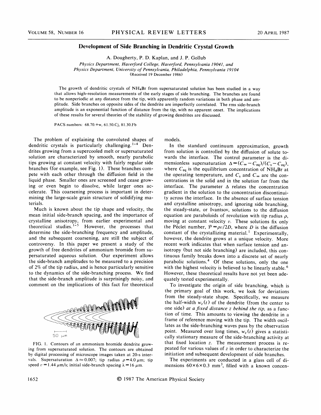## Development of Side Branching in Dendritic Crystal Growth

A. Dougherty, P. D. Kaplan, and J. P. Gollub

Physics Department, Haverford College, Haverford, Pennsylvania l904l, and Physics Department, University of Pennsylvania, Philadelphia, Pennsylvania 19104 (Received 19 December 1986)

The growth of dendritic crystals of NH4Br from supersaturated solution has been studied in a way that allows high-resolution measurements of the early stages of side branching. The branches are found to be nonperiodic at any distance from the tip, with apparently random variations in both phase and amplitude. Side branches on opposite sides of the dendrite are imperfectly correlated. The rms side-branch amplitude is an exponential function of distance from the tip, with no apparent onset. The implications of these results for several theories of the stability of growing dendrites are discussed.

PACS numbers: 68.70.+w, 61.50.Cj, 81.30.Fb

The problem of explaining the convoluted shapes of dendritic crystals is particularly challenging.  $1-4$  Dendrites growing from a supercooled melt or supersaturated solution are characterized by smooth, nearly parabolic tips growing at constant velocity with fairly regular side branches (for example, see Fig. 1). These branches compete with each other through the diffusion field in the liquid phase. Smaller ones are screened and cease growing or even begin to dissolve, while larger ones accelerate. This coarsening process is important in determining the large-scale grain structure of solidifying materials.

Much is known about the tip shape and velocity, the mean initial side-branch spacing, and the importance of crystalline anisotropy, from earlier experimental and theoretical studies.<sup>1-5</sup> However, the processes that determine the side-branching frequency and amplitude, and the subsequent coarsening, are still the subject of controversy. In this paper we present a study of the growth of free dendrites of ammonium bromide from supersaturated aqueous solution. Our experiment allows the side-branch amplitudes to be measured to a precision of 2% of the tip radius, and is hence particularly sensitive to the dynamics of the side-branching process. We find that the side-branch amplitude is surprisingly noisy, and comment on the implications of this fact for theoretical



FIG. 1. Contours of an ammonium bromide dendrite growing from supersaturated solution. The contours are obtained by digital processing of microscope images taken at 20-s intervals. Supersaturation  $\Delta \approx 0.007$ ; tip radius  $\rho = 4.0 \mu m$ ; tip speed  $v = 1.44 \mu m/s$ ; initial side-branch spacing  $\lambda = 16 \mu m$ .

models.

In the standard continuum approximation, growth from solution is controlled by the diffusion of solute towards the interface. The control parameter is the dimensionless supersaturation  $\Delta = (C_{\infty} - C_{\text{eq}})/(C_s - C_{\text{eq}})$ , where  $C_{eq}$  is the equilibrium concentration of NH<sub>4</sub>Br at the operating temperature, and  $C_s$  and  $C_{\infty}$  are the concentrations in the solid and in the solution far from the interface. The parameter  $\Delta$  relates the concentration gradient in the solution to the concentration discontinuity across the interface. In the absence of surface tension and crystalline anisotropy, and ignoring side branching, the steady-state, or Ivantsov, solutions to the diffusion equation are paraboloids of revolution with tip radius  $\rho$ , moving at constant velocity  $v$ . These solutions fix only the Péclet number,  $P = \rho v/2D$ , where D is the diffusion constant of the crystallizing material.<sup>1</sup> Experimentally however, the dendrite grows at a unique velocity. More recent work indicates that when surface tension and anisotropy (but not side branching) are included, this continuous family breaks down into a discrete set of nearly parabolic solutions.<sup>4</sup> Of these solutions, only the one with the highest velocity is believed to be linearly stable.<sup>6</sup> However, these theoretical results have not yet been adequately tested experimentally.

To investigate the origin of side branching, which is the primary goal of this work, we look for deviations from the steady-state shape. Specifically, we measure the half-width  $w_z(t)$  of the dendrite (from the center to one side) at a fixed distance z behind the tip, as a function of time. This amounts to viewing the dendrite in a frame of reference moving with the tip. The width oscillates as the side-branching waves pass by the observation point. Measured over long times,  $w_z(t)$  gives a statistically stationary measure of the side-branching activity at that fixed location z. The measurement process is repeated for various values of  $z$  in order to characterize the initiation and subsequent development of side branches.

The experiments are conducted in a glass cell of dimensions  $60 \times 6 \times 0.3$  mm<sup>3</sup>, filled with a known concen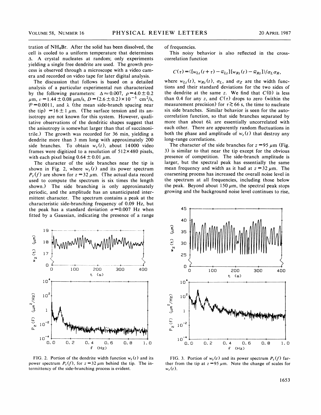tration of  $NH<sub>4</sub>Br$ . After the solid has been dissolved, the cell is cooled to a uniform temperature that determines A crystal nucleates at random; only experiments yielding a single free dendrite are used. The growth process is observed through a microscope with a video camera and recorded on video tape for later digital analysis.

The discussion that follows is based on a detailed analysis of a particular experimental run characterized by the following parameters:  $\Delta \approx 0.007$ ,  $\rho = 4.0 \pm 0.2$  $\mu$ m,  $v = 1.44 \pm 0.08 \ \mu$ m/s,  $D = (2.6 \pm 0.2) \times 10^{-5} \ \text{cm}^2\text{/s}$ ,  $P = 0.0011$ , and  $\lambda$  (the mean side-branch spacing near the tip) =16 $\pm$ 1  $\mu$ m. (The surface tension and its anisotropy are not known for this system. However, qualitative observations of the dendritic shapes suggest that the anisotropy is somewhat larger than that of succinonitrile.) The growth was recorded for 36 min, yielding a dendrite more than 3 mm long with approximately 200 side branches. To obtain  $w_z(t)$ , about 14000 video frames were digitized to a resolution of  $512 \times 480$  pixels, with each pixel being  $0.64 \pm 0.01 \mu m$ .

The character of the side branches near the tip is shown in Fig. 2, where  $w_z(t)$  and its power spectrum  $P_z(f)$  are shown for  $z = 32 \mu$ m. (The actual data record used to compute the spectrum is six times the length shown.) The side branching is only approximately periodic, and the amplitude has an unanticipated intermittent character. The spectrum contains a peak at the characteristic side-branching frequency of 0.09 Hz, but the peak has a standard deviation  $\sigma$ =0.007 Hz when fitted by a Gaussian, indicating the presence of a range



FIG. 2. Portion of the dendrite width function  $w_z(t)$  and its power spectrum  $P_z(f)$ , for  $z = 32 \mu m$  behind the tip. The intermittency of the side-branching process is evident.

of frequencies.

This noisy behavior is also reflected in the crosscorrelation function

$$
C(\tau) = \langle [w_{Lz}(t+\tau) - \overline{w}_{Lz}][w_{Rz}(t) - \overline{w}_{Rz}]\rangle / \sigma_L \sigma_R,
$$

where  $w_{L_z}(t)$ ,  $w_{R_z}(t)$ ,  $\sigma_L$ , and  $\sigma_Z$  are the width functions and their standard deviations for the two sides of the dendrite at the same z. We find that  $C(0)$  is less than 0.4 for any z, and  $C(\tau)$  drops to zero (within the measurement precision) for  $\tau \gtrsim 66$  s, the time to nucleate six side branches. Similar behavior is seen for the autocorrelation function, so that side branches separated by more than about 6k are essentially uncorrelated with each other. There are apparently random fluctuations in both the phase and amplitude of  $w_z(t)$  that destroy any long-range correlations.

The character of the side branches for  $z = 95 \mu m$  (Fig. 3) is similar to that near the tip except for the obvious presence of competition. The side-branch amplitude is larger, but the spectral peak has essentially the same mean frequency and width as it had at  $z = 32 \mu m$ . The coarsening process has increased the overall noise level in the spectrum at all frequencies, including those below the peak. Beyond about 150  $\mu$ m, the spectral peak stops growing and the background noise level continues to rise,



FIG. 3. Portion of  $w_z(t)$  and its power spectrum  $P_z(f)$  farther from the tip at  $z = 95 \mu m$ . Note the change of scales for  $w_z(t)$ .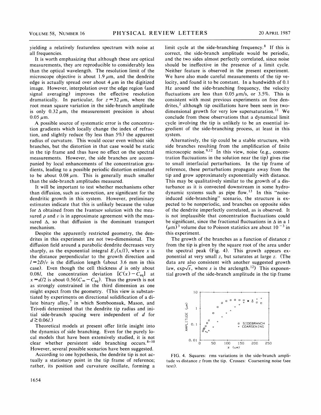yielding a relatively featureless spectrum with noise at all frequencies.

It is worth emphasizing that although these are optical measurements, they are reproducible to considerably less than the optical wavelength. The resolution limit of the microscope objective is about 1.9  $\mu$ m, and the dendrite edge is actually spread over about  $4 \mu m$  in the digitized image. However, interpolation over the edge region (and signal averaging) improves the effective resolution dramatically. In particular, for  $z = 32 \mu m$ , where the root mean square variation in the side-branch amplitude is only  $0.32 \mu m$ , the measurement precision is about  $0.05 \mu m$ .

A possible source of systematic error is the concentration gradients which locally change the index of refraction, and slightly reduce (by less than 5%) the apparent radius of curvature. This would occur even without side branches, but the distortion in that case would be static in the tip frame and thus have no effect on the spectral measurements. However, the side branches are accompanied by local enhancements of the concentration gradients, leading to a possible periodic distortion estimated to be about  $0.08 \mu m$ . This is generally much smaller than the side-branch amplitudes measured.

It will be important to test whether mechanisms other than diffusion, such as convection, are significant for the dendritic growth in this system. However, preliminary estimates indicate that this is unlikely because the value for  $\Delta$  obtained from the Ivantsov solution with the measured  $\rho$  and v is in approximate agreement with the measured  $\Delta$ , so that diffusion is the dominant transport mechanism.

Despite the apparently restricted geometry, the dendrites in this experiment are not two-dimensional. The diffusion field around a parabolic dendrite decreases very sharply, as the exponential integral  $E_1(x/l)$ , where x is the distance perpendicular to the growth direction and  $l=2D/v$  is the diffusion length (about 3.6 mm in this case). Even though the cell thickness  $d$  is only about 0.08*l*, the concentration deviation  $[C(x)-C_{eq}]$  at  $x = d/2$  is about  $0.56(C_{\infty} - C_{eq})$ . Thus the growth is not as strongly constrained in the third dimension as one might expect from the geometry. (This view is substantiated by experiments on directional solidification of a dilute binary alloy,<sup>7</sup> in which Somboonsuk, Mason, and Trivedi determined that the dendrite tip radius and initial side-branch spacing were independent of d for  $d \gtrsim 0.06l$ .)

Theoretical models at present offer little insight into the dynamics of side branching. Even for the purely local models that have been extensively studied, it is not clear whether persistent side branching occurs. 8-10 However, several possible scenarios have been suggested.

According to one hypothesis, the dendrite tip is not actually a stationary point in the tip frame of reference; rather, its position and curvature oscillate, forming a limit cycle at the side-branching frequency. $8$  If this is correct, the side-branch amplitude would be periodic, and the two sides almost perfectly correlated, since noise should be ineffective in the presence of a limit cycle. Neither feature is observed in the present experiment. We have also made careful measurements of the tip velocity, and found it to be constant. In a bandwidth of 0. <sup>1</sup> Hz around the side-branching frequency, the velocity fluctuations are less than 0.05  $\mu$ m/s, or 3.5%. This is consistent with most previous experiments on free dendrites,<sup>2</sup> although tip oscillations have been seen in twolrites,<sup>2</sup> although tip oscillations have been seen in two-<br>limensional growth for very low supersaturation.<sup>11</sup> We conclude from these observations that a dynamical limit cycle involving the tip is unlikely to be an essential ingredient of the side-branching process, at least in this system.

Alternatively, the tip could be a stable structure, with ide branches resulting from the amplification of finite microscopic noise.<sup>9,12</sup> In this view, noise (e.g., concentration fluctuations in the solution near the tip) gives rise to small interfacial perturbations. In the tip frame of reference, these perturbations propagate away from the tip and grow approximately exponentially with distance. This may be qualitatively similar to the growth of a disturbance as it is convected downstream in some hydrolynamic systems such as pipe flow.<sup>13</sup> In this "noiseinduced side-branching" scenario, the structure is expected to be nonperiodic, and branches on opposite sides of the dendrite imperfectly correlated, as is observed. It is not implausible that concentration fluctuations could be significant, since the fractional fluctuations in  $\Delta$  in a 1  $(\mu m)^3$  volume due to Poisson statistics are about 10<sup>-3</sup> in um/volume

The growth of the branches as a function of distance  $z$ from the tip is given by the square root of the area under the spectral peak (Fig. 4). This growth appears exponential at very small z, but saturates at large z. (The data are also consistent with another suggested growth aw,  $\exp{\sqrt{s}}$ , where s is the arclength.<sup>12</sup>) This exponential growth of the side-branch amplitude in the tip frame



FIG. 4. Squares: rms variations in the side-branch amplitude vs distance z from the tip. Crosses: Coarsening noise (see text).